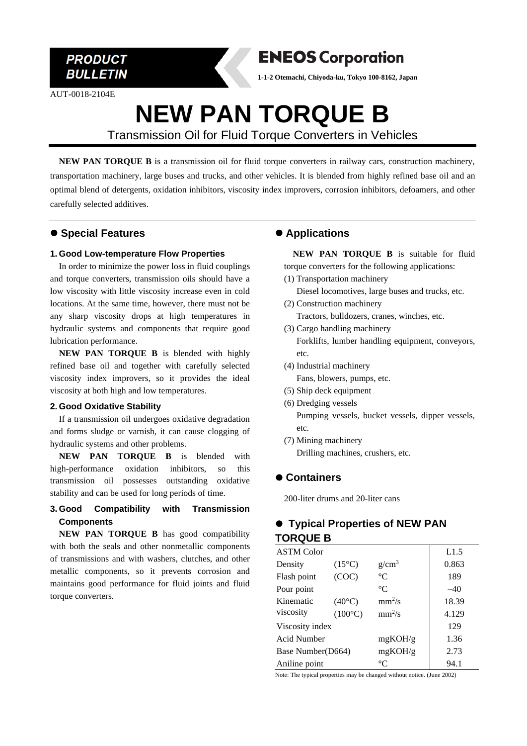

AUT-0018-2104E



**1-1-2 Otemachi, Chiyoda-ku, Tokyo 100-8162, Japan**

# **NEW PAN TORQUE B**

Transmission Oil for Fluid Torque Converters in Vehicles

**NEW PAN TORQUE B** is a transmission oil for fluid torque converters in railway cars, construction machinery, transportation machinery, large buses and trucks, and other vehicles. It is blended from highly refined base oil and an optimal blend of detergents, oxidation inhibitors, viscosity index improvers, corrosion inhibitors, defoamers, and other carefully selected additives.

### ⚫ **Special Features**

#### **1. Good Low-temperature Flow Properties**

In order to minimize the power loss in fluid couplings and torque converters, transmission oils should have a low viscosity with little viscosity increase even in cold locations. At the same time, however, there must not be any sharp viscosity drops at high temperatures in hydraulic systems and components that require good lubrication performance.

**NEW PAN TORQUE B** is blended with highly refined base oil and together with carefully selected viscosity index improvers, so it provides the ideal viscosity at both high and low temperatures.

#### **2. Good Oxidative Stability**

If a transmission oil undergoes oxidative degradation and forms sludge or varnish, it can cause clogging of hydraulic systems and other problems.

 **NEW PAN TORQUE B** is blended with high-performance oxidation inhibitors, so this transmission oil possesses outstanding oxidative stability and can be used for long periods of time.

#### **3. Good Compatibility with Transmission Components**

**NEW PAN TORQUE B** has good compatibility with both the seals and other nonmetallic components of transmissions and with washers, clutches, and other metallic components, so it prevents corrosion and maintains good performance for fluid joints and fluid torque converters.

### ⚫ **Applications**

**NEW PAN TORQUE B** is suitable for fluid torque converters for the following applications:

- (1) Transportation machinery Diesel locomotives, large buses and trucks, etc.
- (2) Construction machinery Tractors, bulldozers, cranes, winches, etc.
- (3) Cargo handling machinery Forklifts, lumber handling equipment, conveyors, etc.
- (4) Industrial machinery Fans, blowers, pumps, etc.
- (5) Ship deck equipment
- (6) Dredging vessels Pumping vessels, bucket vessels, dipper vessels, etc.
- (7) Mining machinery Drilling machines, crushers, etc.

## ⚫ **Containers**

200-liter drums and 20-liter cans

# ⚫ **Typical Properties of NEW PAN TORQUE B**

| <b>ASTM Color</b> |                  |                   | L1.5  |
|-------------------|------------------|-------------------|-------|
| Density           | $(15^{\circ}C)$  | g/cm <sup>3</sup> | 0.863 |
| Flash point       | (COC)            | $^{\circ}C$       | 189   |
| Pour point        |                  | $^{\circ}C$       | $-40$ |
| Kinematic         | $(40^{\circ}C)$  | $mm^2/s$          | 18.39 |
| viscosity         | $(100^{\circ}C)$ | $mm^2/s$          | 4.129 |
| Viscosity index   |                  |                   | 129   |
| Acid Number       |                  | mgKOH/g           | 1.36  |
| Base Number(D664) |                  | mgKOH/g           | 2.73  |
| Aniline point     |                  | $^{\circ}C$       | 94.1  |

Note: The typical properties may be changed without notice. (June 2002)